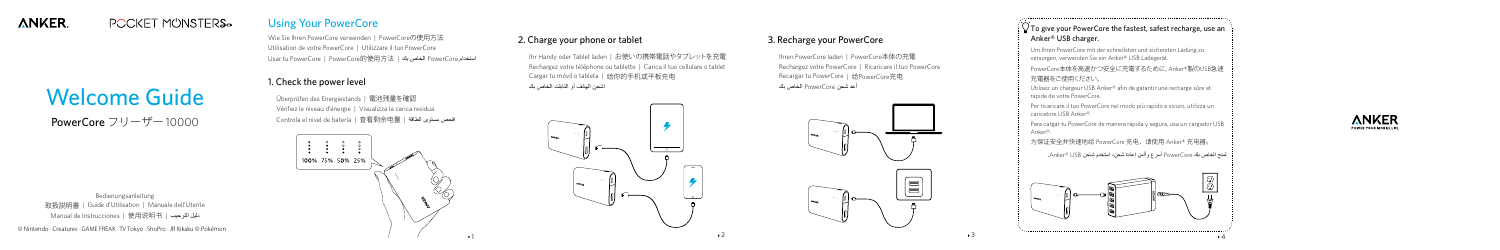### **ANKER. POCKET MÜNSTERS-**

Welcome Guide

PowerCore フリーザー10000

# Using Your PowerCore

Wie Sie Ihren PowerCore verwenden | PowerCoreの使用方法 Utilisation de votre PowerCore | Utilizzare il tuo PowerCore Usar tu PowerCore | PowerCore的使用方法 | بك الخاص PowerCore استخدام





## 1. Check the power level

Überprüfen des Energiestands | 電池残量を確認 Vérifiez le niveau d'énergie | Visualizza la carica residua Controla el nivel de batería | 查看剩余电量 | الطاقة مستوى افحص



# 2. Charge your phone or tablet

 $\frac{1}{2}$   $\sqrt{ }$  To give your PowerCore the fastest, safest recharge, use an Anker® USB charger.

Ihr Handy oder Tablet laden | お使いの携帯電話やタブレットを充電 Rechargez votre téléphone ou tablette | Carica il tuo cellulare o tablet Cargar tu móvil o tableta | 给你的手机或平板充电 اشحن الهاتف أو التابلت الخاص بك



## 3. Recharge your PowerCore

Ihren PowerCore laden | PowerCore本体の充電 Rechargez votre PowerCore | Ricaricare il tuo PowerCore Recargar tu PowerCore | 给PowerCore充电 أعد شحن PowerCore الخاص بك



Bedienungsanleitung 取扱説明書 | Guide d'Utilisation | Manuale dell'Utente Manual de Instrucciones | 使用说明书 | الترحيب دليل

Um Ihren PowerCore mit der schnellsten und sichersten Ladung zu versorgen, verwenden Sie ein Anker® USB Ladegerät.

PowerCore本体を高速かつ安全に充電するために、Anker®製のUSB急速 充電器をご使用ください。

Utilisez un chargeur USB Anker® afin de garantir une recharge sûre et rapide de votre PowerCore.

Per ricaricare il tuo PowerCore nel modo più rapido e sicuro, utilizza un caricatore USB Anker®.

Para cargar tu PowerCore de manera rápida y segura, usa un cargador USB Anker®.

为保证安全并快速地给 PowerCore 充电,请使用 Anker® 充电器。

لمنح الخاص بك PowerCore أسرع وأأمن إعادة شحن، استخدم شاحن USB® Anker.

© Nintendo · Creatures · GAME FREAK · TV Tokyo · ShoPro · JR Kikaku © Pokémon